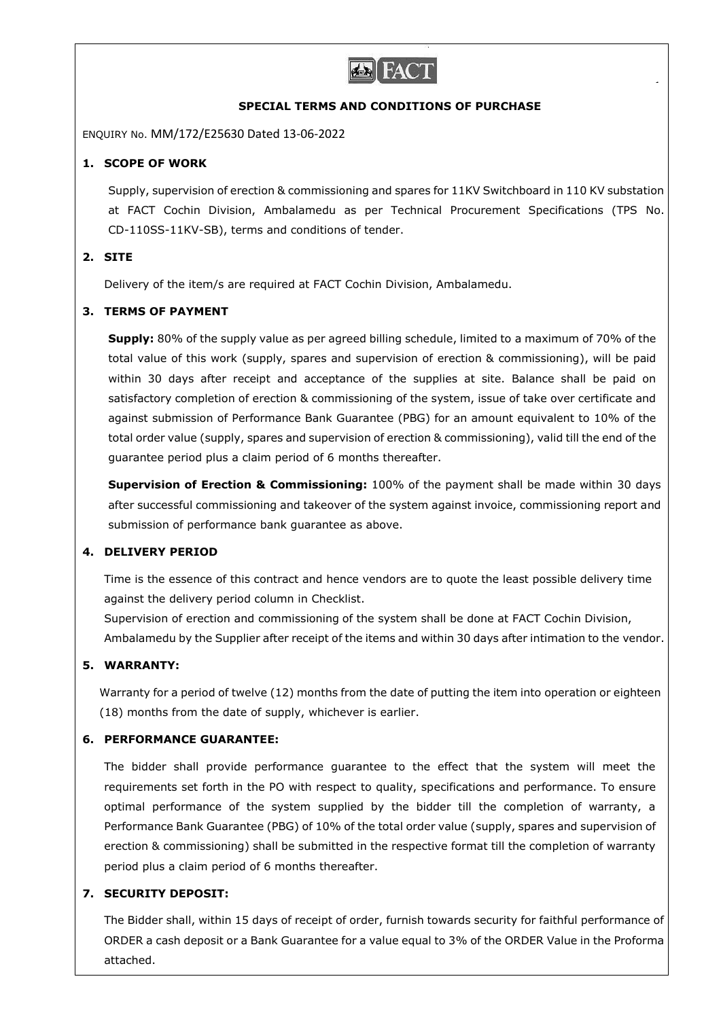

#### **SPECIAL TERMS AND CONDITIONS OF PURCHASE**

ENQUIRY No. MM/172/E25630 Dated 13-06-2022

## **1. SCOPE OF WORK**

Supply, supervision of erection & commissioning and spares for 11KV Switchboard in 110 KV substation at FACT Cochin Division, Ambalamedu as per Technical Procurement Specifications (TPS No. CD-110SS-11KV-SB), terms and conditions of tender.

# **2. SITE**

Delivery of the item/s are required at FACT Cochin Division, Ambalamedu.

#### **3. TERMS OF PAYMENT**

**Supply:** 80% of the supply value as per agreed billing schedule, limited to a maximum of 70% of the total value of this work (supply, spares and supervision of erection & commissioning), will be paid within 30 days after receipt and acceptance of the supplies at site. Balance shall be paid on satisfactory completion of erection & commissioning of the system, issue of take over certificate and against submission of Performance Bank Guarantee (PBG) for an amount equivalent to 10% of the total order value (supply, spares and supervision of erection & commissioning), valid till the end of the guarantee period plus a claim period of 6 months thereafter.

**Supervision of Erection & Commissioning:** 100% of the payment shall be made within 30 days after successful commissioning and takeover of the system against invoice, commissioning report and submission of performance bank guarantee as above.

#### **4. DELIVERY PERIOD**

Time is the essence of this contract and hence vendors are to quote the least possible delivery time against the delivery period column in Checklist.

Supervision of erection and commissioning of the system shall be done at FACT Cochin Division, Ambalamedu by the Supplier after receipt of the items and within 30 days after intimation to the vendor.

# **5. WARRANTY:**

Warranty for a period of twelve (12) months from the date of putting the item into operation or eighteen (18) months from the date of supply, whichever is earlier.

# **6. PERFORMANCE GUARANTEE:**

The bidder shall provide performance guarantee to the effect that the system will meet the requirements set forth in the PO with respect to quality, specifications and performance. To ensure optimal performance of the system supplied by the bidder till the completion of warranty, a Performance Bank Guarantee (PBG) of 10% of the total order value (supply, spares and supervision of erection & commissioning) shall be submitted in the respective format till the completion of warranty period plus a claim period of 6 months thereafter.

# **7. SECURITY DEPOSIT:**

The Bidder shall, within 15 days of receipt of order, furnish towards security for faithful performance of ORDER a cash deposit or a Bank Guarantee for a value equal to 3% of the ORDER Value in the Proforma attached.